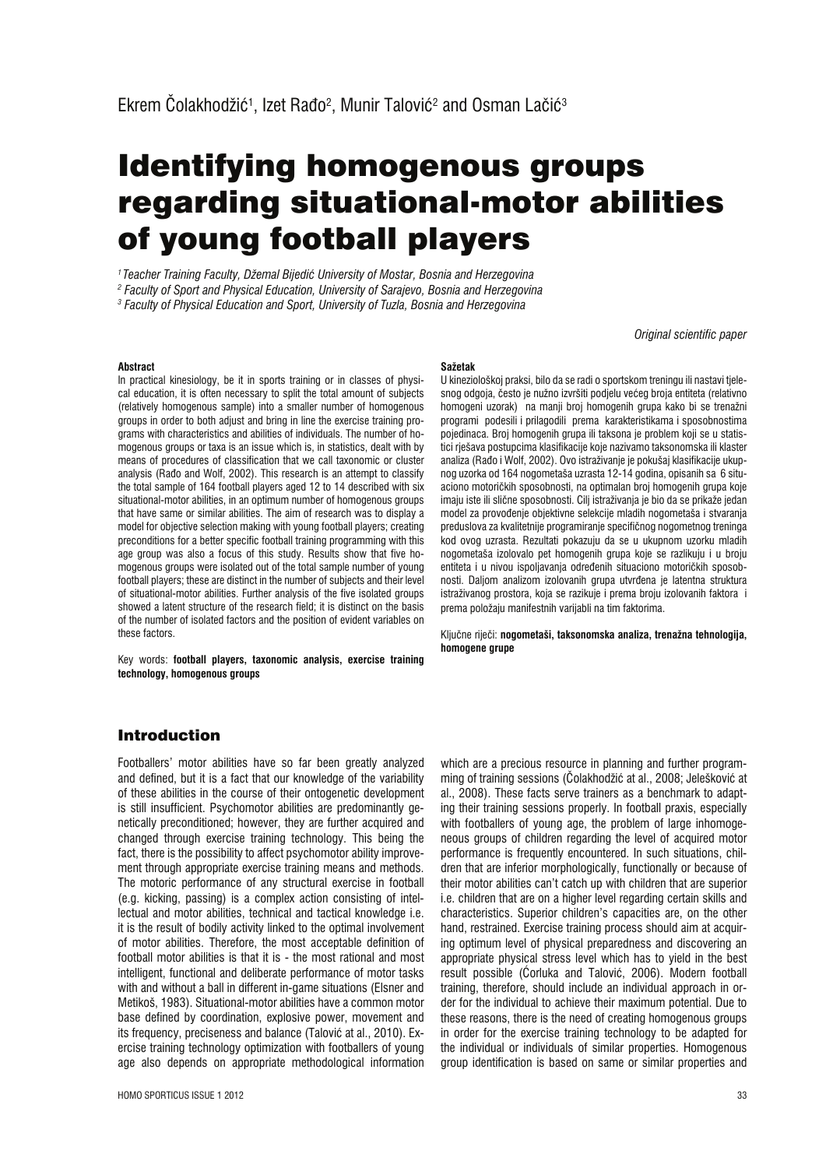# Identifying homogenous groups regarding situational-motor abilities of young football players

*1 Teacher Training Faculty, Džemal Bijediê University of Mostar, Bosnia and Herzegovina 2 Faculty of Sport and Physical Education, University of Sarajevo, Bosnia and Herzegovina*

*3 Faculty of Physical Education and Sport, University of Tuzla, Bosnia and Herzegovina*

*Original scientific paper*

#### **Abstract**

In practical kinesiology, be it in sports training or in classes of physical education, it is often necessary to split the total amount of subjects (relatively homogenous sample) into a smaller number of homogenous groups in order to both adjust and bring in line the exercise training programs with characteristics and abilities of individuals. The number of homogenous groups or taxa is an issue which is, in statistics, dealt with by means of procedures of classification that we call taxonomic or cluster analysis (Rado and Wolf, 2002). This research is an attempt to classify the total sample of 164 football players aged 12 to 14 described with six situational-motor abilities, in an optimum number of homogenous groups that have same or similar abilities. The aim of research was to display a model for objective selection making with young football players; creating preconditions for a better specific football training programming with this age group was also a focus of this study. Results show that five homogenous groups were isolated out of the total sample number of young football players; these are distinct in the number of subjects and their level of situational-motor abilities. Further analysis of the five isolated groups showed a latent structure of the research field; it is distinct on the basis of the number of isolated factors and the position of evident variables on these factors.

Key words: **football players, taxonomic analysis, exercise training technology, homogenous groups**

#### **Sažetak**

U kineziološkoj praksi, bilo da se radi o sportskom treningu ili nastavi tjelesnog odgoja, često je nužno izvršiti podjelu većeg broja entiteta (relativno homogeni uzorak) na manji broj homogenih grupa kako bi se trenažni programi podesili i prilagodili prema karakteristikama i sposobnostima pojedinaca. Broj homogenih grupa ili taksona je problem koji se u statistici rješava postupcima klasifikacije koje nazivamo taksonomska ili klaster analiza (Raío i Wolf, 2002). Ovo istraživanje je pokušaj klasifikacije ukupnog uzorka od 164 nogometaša uzrasta 12-14 godina, opisanih sa 6 situaciono motoričkih sposobnosti, na optimalan broj homogenih grupa koje imaju iste ili slične sposobnosti. Cilj istraživanja je bio da se prikaže jedan model za provoíenje objektivne selekcije mladih nogometaša i stvaranja preduslova za kvalitetnije programiranje specifičnog nogometnog treninga kod ovog uzrasta. Rezultati pokazuju da se u ukupnom uzorku mladih nogometaša izolovalo pet homogenih grupa koje se razlikuju i u broju entiteta i u nivou ispoljavanja određenih situaciono motoričkih sposobnosti. Daljom analizom izolovanih grupa utvrđena je latentna struktura istraživanog prostora, koja se razikuje i prema broju izolovanih faktora i prema položaju manifestnih varijabli na tim faktorima.

Ključne riječi: nogometaši, taksonomska analiza, trenažna tehnologija, **homogene grupe** 

## Introduction

Footballers' motor abilities have so far been greatly analyzed and defined, but it is a fact that our knowledge of the variability of these abilities in the course of their ontogenetic development is still insufficient. Psychomotor abilities are predominantly genetically preconditioned; however, they are further acquired and changed through exercise training technology. This being the fact, there is the possibility to affect psychomotor ability improvement through appropriate exercise training means and methods. The motoric performance of any structural exercise in football (e.g. kicking, passing) is a complex action consisting of intellectual and motor abilities, technical and tactical knowledge i.e. it is the result of bodily activity linked to the optimal involvement of motor abilities. Therefore, the most acceptable definition of football motor abilities is that it is - the most rational and most intelligent, functional and deliberate performance of motor tasks with and without a ball in different in-game situations (Elsner and Metikoš, 1983). Situational-motor abilities have a common motor base defined by coordination, explosive power, movement and its frequency, preciseness and balance (Taloviê at al., 2010). Exercise training technology optimization with footballers of young age also depends on appropriate methodological information which are a precious resource in planning and further programming of training sessions (ëolakhodžiê at al., 2008; Jeleškoviê at al., 2008). These facts serve trainers as a benchmark to adapting their training sessions properly. In football praxis, especially with footballers of young age, the problem of large inhomogeneous groups of children regarding the level of acquired motor performance is frequently encountered. In such situations, children that are inferior morphologically, functionally or because of their motor abilities can't catch up with children that are superior i.e. children that are on a higher level regarding certain skills and characteristics. Superior children's capacities are, on the other hand, restrained. Exercise training process should aim at acquiring optimum level of physical preparedness and discovering an appropriate physical stress level which has to yield in the best result possible (éorluka and Taloviê, 2006). Modern football training, therefore, should include an individual approach in order for the individual to achieve their maximum potential. Due to these reasons, there is the need of creating homogenous groups in order for the exercise training technology to be adapted for the individual or individuals of similar properties. Homogenous group identification is based on same or similar properties and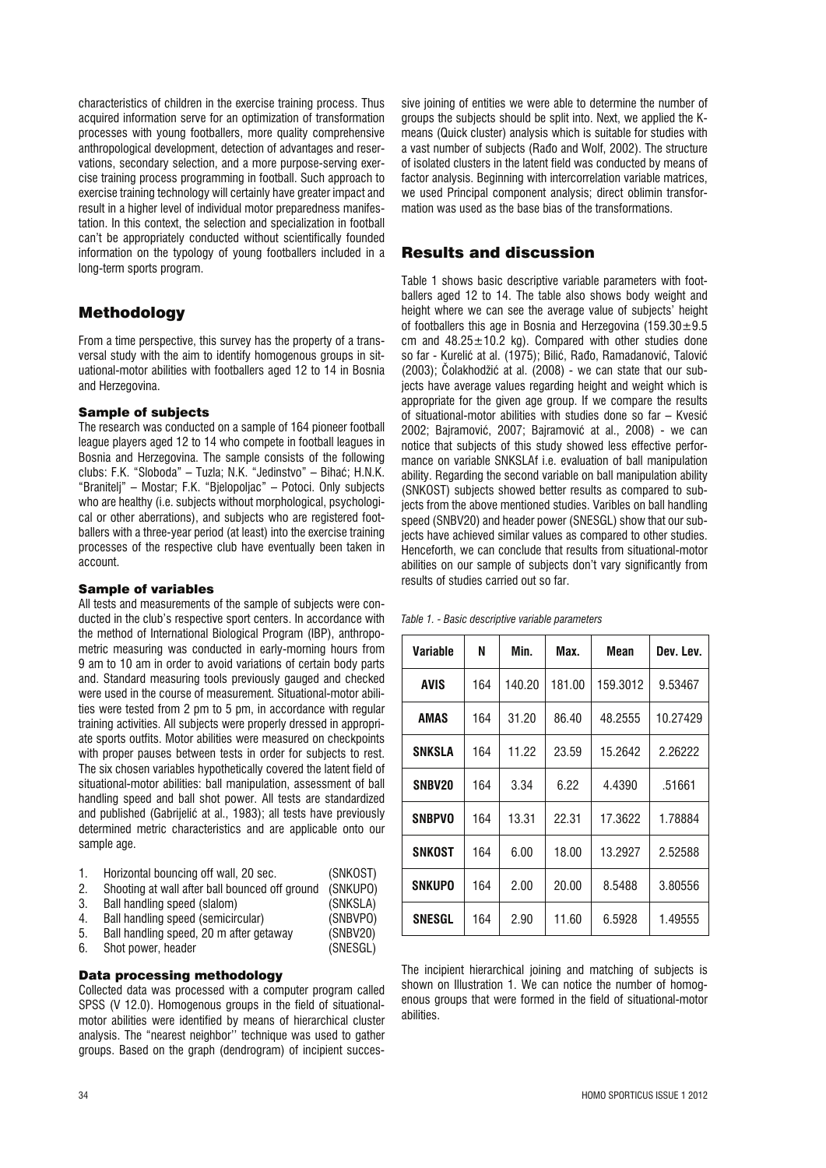characteristics of children in the exercise training process. Thus acquired information serve for an optimization of transformation processes with young footballers, more quality comprehensive anthropological development, detection of advantages and reservations, secondary selection, and a more purpose-serving exercise training process programming in football. Such approach to exercise training technology will certainly have greater impact and result in a higher level of individual motor preparedness manifestation. In this context, the selection and specialization in football can't be appropriately conducted without scientifically founded information on the typology of young footballers included in a long-term sports program.

# Methodology

From a time perspective, this survey has the property of a transversal study with the aim to identify homogenous groups in situational-motor abilities with footballers aged 12 to 14 in Bosnia and Herzegovina.

### Sample of subjects

The research was conducted on a sample of 164 pioneer football league players aged 12 to 14 who compete in football leagues in Bosnia and Herzegovina. The sample consists of the following clubs: F.K. "Sloboda" – Tuzla; N.K. "Jedinstvo" – Bihaê; H.N.K. "Branitelj" – Mostar; F.K. "Bjelopoljac" – Potoci. Only subjects who are healthy (i.e. subjects without morphological, psychological or other aberrations), and subjects who are registered footballers with a three-year period (at least) into the exercise training processes of the respective club have eventually been taken in account.

#### Sample of variables

All tests and measurements of the sample of subjects were conducted in the club's respective sport centers. In accordance with the method of International Biological Program (IBP), anthropometric measuring was conducted in early-morning hours from 9 am to 10 am in order to avoid variations of certain body parts and. Standard measuring tools previously gauged and checked were used in the course of measurement. Situational-motor abilities were tested from 2 pm to 5 pm, in accordance with regular training activities. All subjects were properly dressed in appropriate sports outfits. Motor abilities were measured on checkpoints with proper pauses between tests in order for subjects to rest. The six chosen variables hypothetically covered the latent field of situational-motor abilities: ball manipulation, assessment of ball handling speed and ball shot power. All tests are standardized and published (Gabrijeliê at al., 1983); all tests have previously determined metric characteristics and are applicable onto our sample age.

| Horizontal bouncing off wall, 20 sec. | (SNKOST) |  |
|---------------------------------------|----------|--|
|---------------------------------------|----------|--|

- 2. Shooting at wall after ball bounced off ground (SNKUPO)
- 3. Ball handling speed (slalom) (SNKSLA)
- 4. Ball handling speed (semicircular) (SNBVPO)
- 5. Ball handling speed, 20 m after getaway (SNBV20) 6. Shot power, header (SNESGL)
- 

Data processing methodology Collected data was processed with a computer program called SPSS (V 12.0). Homogenous groups in the field of situationalmotor abilities were identified by means of hierarchical cluster analysis. The "nearest neighbor'' technique was used to gather groups. Based on the graph (dendrogram) of incipient successive joining of entities we were able to determine the number of groups the subjects should be split into. Next, we applied the Kmeans (Quick cluster) analysis which is suitable for studies with a vast number of subjects (Rado and Wolf, 2002). The structure of isolated clusters in the latent field was conducted by means of factor analysis. Beginning with intercorrelation variable matrices, we used Principal component analysis; direct oblimin transformation was used as the base bias of the transformations.

# Results and discussion

Table 1 shows basic descriptive variable parameters with footballers aged 12 to 14. The table also shows body weight and height where we can see the average value of subjects' height of footballers this age in Bosnia and Herzegovina  $(159.30 \pm 9.5$ cm and  $48.25 \pm 10.2$  kg). Compared with other studies done so far - Kurelić at al. (1975); Bilić, Rađo, Ramadanović, Talović (2003); ëolakhodžiê at al. (2008) - we can state that our subjects have average values regarding height and weight which is appropriate for the given age group. If we compare the results of situational-motor abilities with studies done so far – Kvesiê 2002; Bajramoviê, 2007; Bajramoviê at al., 2008) - we can notice that subjects of this study showed less effective performance on variable SNKSLAf i.e. evaluation of ball manipulation ability. Regarding the second variable on ball manipulation ability (SNKOST) subjects showed better results as compared to subjects from the above mentioned studies. Varibles on ball handling speed (SNBV20) and header power (SNESGL) show that our subjects have achieved similar values as compared to other studies. Henceforth, we can conclude that results from situational-motor abilities on our sample of subjects don't vary significantly from results of studies carried out so far.

| Table 1. - Basic descriptive variable parameters |  |
|--------------------------------------------------|--|
|--------------------------------------------------|--|

| Variable      | N   | Min.   | Max.   | Mean     | Dev. Lev. |
|---------------|-----|--------|--------|----------|-----------|
| <b>AVIS</b>   | 164 | 140.20 | 181.00 | 159.3012 | 9.53467   |
| AMAS          | 164 | 31.20  | 86.40  | 48.2555  | 10.27429  |
| <b>SNKSLA</b> | 164 | 11.22  | 23.59  | 15.2642  | 2.26222   |
| SNBV20        | 164 | 3.34   | 6.22   | 4.4390   | .51661    |
| <b>SNBPVO</b> | 164 | 13.31  | 22.31  | 17.3622  | 1.78884   |
| SNKOST        | 164 | 6.00   | 18.00  | 13.2927  | 2.52588   |
| <b>SNKUPO</b> | 164 | 2.00   | 20.00  | 8.5488   | 3.80556   |
| SNESGL        | 164 | 2.90   | 11.60  | 6.5928   | 1.49555   |

The incipient hierarchical joining and matching of subjects is shown on Illustration 1. We can notice the number of homogenous groups that were formed in the field of situational-motor abilities.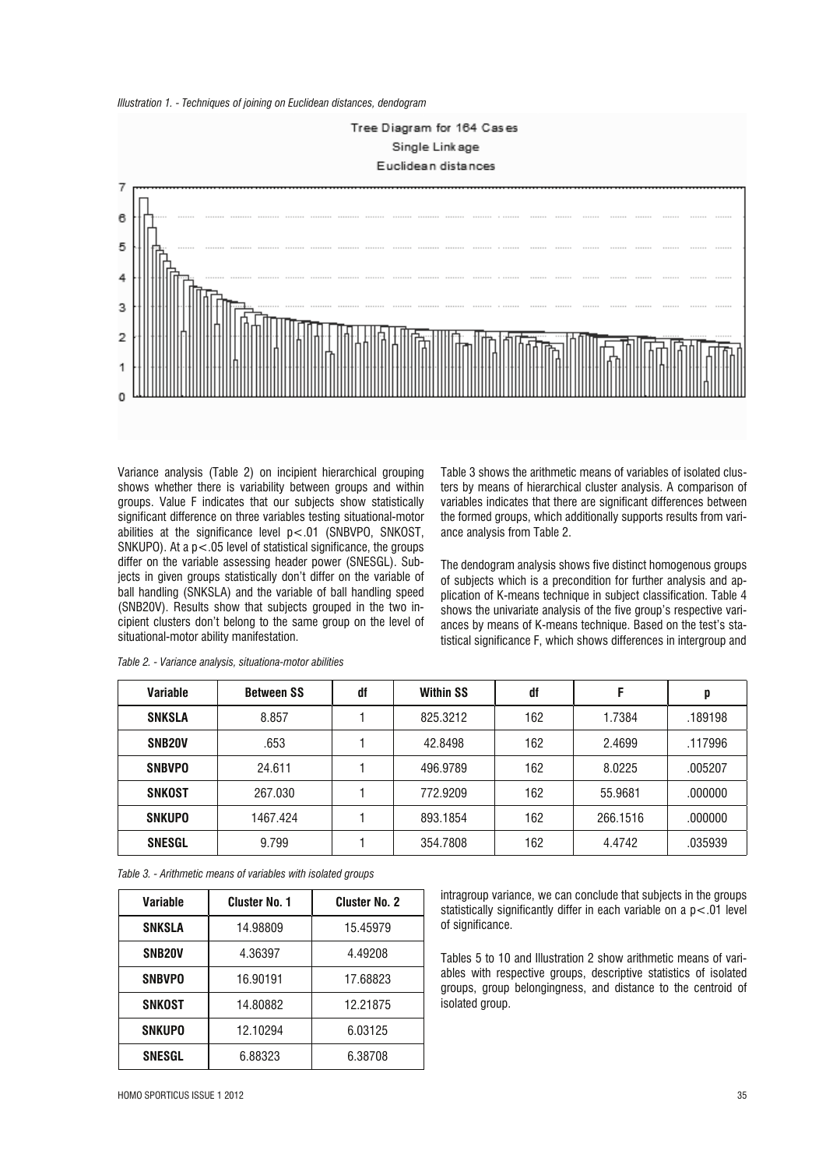



Variance analysis (Table 2) on incipient hierarchical grouping shows whether there is variability between groups and within groups. Value F indicates that our subjects show statistically significant difference on three variables testing situational-motor abilities at the significance level p<.01 (SNBVPO, SNKOST, SNKUPO). At a  $p < 05$  level of statistical significance, the groups differ on the variable assessing header power (SNESGL). Subjects in given groups statistically don't differ on the variable of ball handling (SNKSLA) and the variable of ball handling speed (SNB20V). Results show that subjects grouped in the two incipient clusters don't belong to the same group on the level of situational-motor ability manifestation.

Table 3 shows the arithmetic means of variables of isolated clusters by means of hierarchical cluster analysis. A comparison of variables indicates that there are significant differences between the formed groups, which additionally supports results from variance analysis from Table 2.

The dendogram analysis shows five distinct homogenous groups of subjects which is a precondition for further analysis and application of K-means technique in subject classification. Table 4 shows the univariate analysis of the five group's respective variances by means of K-means technique. Based on the test's statistical significance F, which shows differences in intergroup and

| <b>Variable</b>     | <b>Between SS</b> | df | <b>Within SS</b> | df  | F        | p       |
|---------------------|-------------------|----|------------------|-----|----------|---------|
| <b>SNKSLA</b>       | 8.857             |    | 825.3212         | 162 | 1.7384   | .189198 |
| SNB <sub>20</sub> V | .653              |    | 42.8498          | 162 | 2.4699   | .117996 |
| <b>SNBVPO</b>       | 24.611            |    | 496.9789         | 162 | 8.0225   | .005207 |
| SNKOST              | 267.030           |    | 772.9209         | 162 | 55.9681  | .000000 |
| <b>SNKUPO</b>       | 1467.424          |    | 893.1854         | 162 | 266.1516 | .000000 |
| <b>SNESGL</b>       | 9.799             |    | 354.7808         | 162 | 4.4742   | .035939 |

*Table 2. - Variance analysis, situationa-motor abilities*

*Table 3. - Arithmetic means of variables with isolated groups*

| Variable            | <b>Cluster No. 1</b> | <b>Cluster No. 2</b> |
|---------------------|----------------------|----------------------|
| <b>SNKSLA</b>       | 14.98809             | 15.45979             |
| SNB <sub>20</sub> V | 4.36397              | 4.49208              |
| <b>SNBVPO</b>       | 16.90191             | 17.68823             |
| SNKOST              | 14.80882             | 12.21875             |
| <b>SNKUPO</b>       | 12.10294             | 6.03125              |
| <b>SNESGL</b>       | 6.88323              | 6.38708              |

intragroup variance, we can conclude that subjects in the groups statistically significantly differ in each variable on a  $p < 01$  level of significance.

Tables 5 to 10 and Illustration 2 show arithmetic means of variables with respective groups, descriptive statistics of isolated groups, group belongingness, and distance to the centroid of isolated group.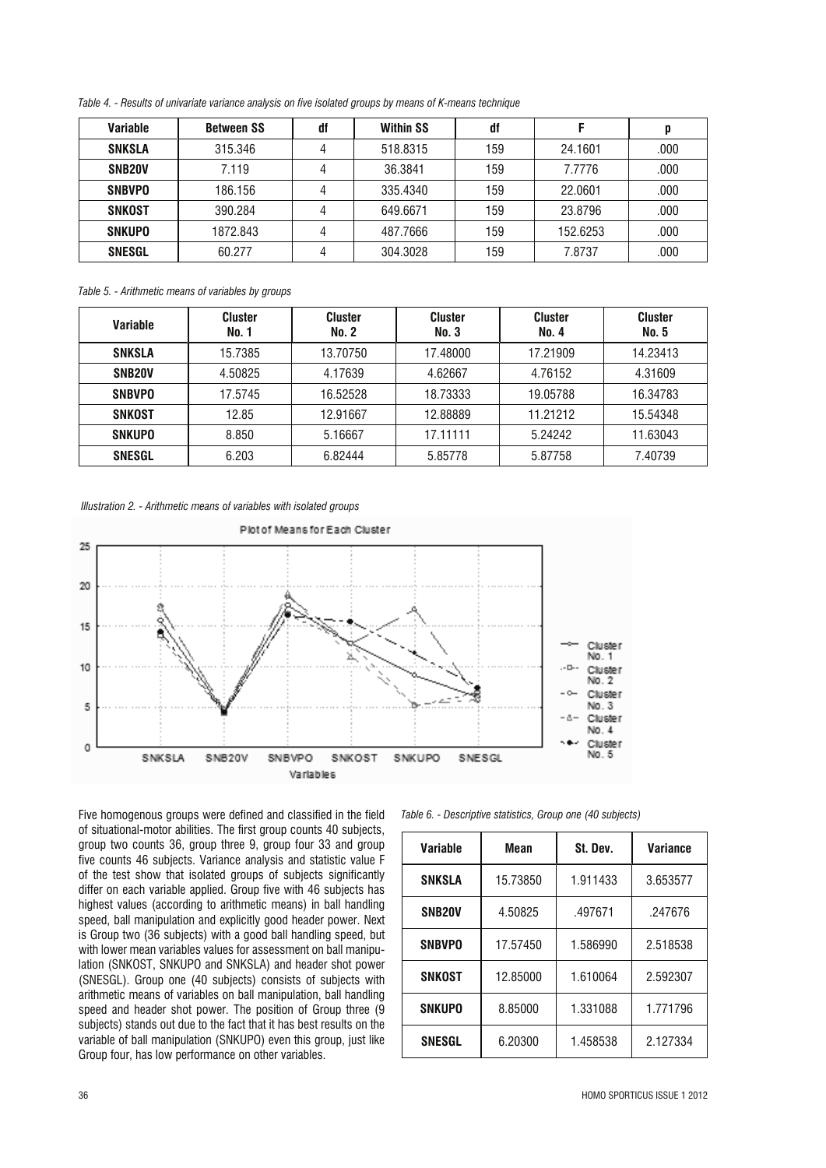*Table 4. - Results of univariate variance analysis on five isolated groups by means of K-means technique*

| Variable            | <b>Between SS</b> | df | <b>Within SS</b> | df  |          |      |
|---------------------|-------------------|----|------------------|-----|----------|------|
| <b>SNKSLA</b>       | 315,346           |    | 518.8315         | 159 | 24.1601  | .000 |
| SNB <sub>20</sub> V | 7.119             |    | 36.3841          | 159 | 7.7776   | .000 |
| <b>SNBVPO</b>       | 186.156           |    | 335.4340         | 159 | 22.0601  | .000 |
| SNKOST              | 390.284           |    | 649.6671         | 159 | 23.8796  | .000 |
| <b>SNKUPO</b>       | 1872.843          |    | 487.7666         | 159 | 152.6253 | .000 |
| <b>SNESGL</b>       | 60.277            |    | 304.3028         | 159 | 7.8737   | .000 |

*Table 5. - Arithmetic means of variables by groups*

| <b>Variable</b>     | <b>Cluster</b><br>No. 1 | <b>Cluster</b><br>No. 2 | <b>Cluster</b><br>No. 3 | <b>Cluster</b><br>No. 4 | <b>Cluster</b><br><b>No. 5</b> |
|---------------------|-------------------------|-------------------------|-------------------------|-------------------------|--------------------------------|
| <b>SNKSLA</b>       | 15.7385                 | 13.70750                | 17.48000                | 17.21909                | 14.23413                       |
| SNB <sub>20</sub> V | 4.50825                 | 4.17639                 | 4.62667                 | 4.76152                 | 4.31609                        |
| <b>SNBVPO</b>       | 17.5745                 | 16.52528                | 18.73333                | 19.05788                | 16.34783                       |
| SNKOST              | 12.85                   | 12.91667                | 12.88889                | 11.21212                | 15.54348                       |
| <b>SNKUPO</b>       | 8.850                   | 5.16667                 | 17.11111                | 5.24242                 | 11.63043                       |
| <b>SNESGL</b>       | 6.203                   | 6.82444                 | 5.85778                 | 5.87758                 | 7.40739                        |

*Illustration 2. - Arithmetic means of variables with isolated groups*



Five homogenous groups were defined and classified in the field of situational-motor abilities. The first group counts 40 subjects, group two counts 36, group three 9, group four 33 and group five counts 46 subjects. Variance analysis and statistic value F of the test show that isolated groups of subjects significantly differ on each variable applied. Group five with 46 subjects has highest values (according to arithmetic means) in ball handling speed, ball manipulation and explicitly good header power. Next is Group two (36 subjects) with a good ball handling speed, but with lower mean variables values for assessment on ball manipulation (SNKOST, SNKUPO and SNKSLA) and header shot power (SNESGL). Group one (40 subjects) consists of subjects with arithmetic means of variables on ball manipulation, ball handling speed and header shot power. The position of Group three (9 subjects) stands out due to the fact that it has best results on the variable of ball manipulation (SNKUPO) even this group, just like Group four, has low performance on other variables.

| Table 6. - Descriptive statistics, Group one (40 subjects) |  |  |
|------------------------------------------------------------|--|--|
|------------------------------------------------------------|--|--|

| Variable            | Mean     | St. Dev. | Variance |
|---------------------|----------|----------|----------|
| <b>SNKSLA</b>       | 15.73850 | 1.911433 | 3.653577 |
| SNB <sub>20</sub> V | 4.50825  | .497671  | .247676  |
| <b>SNBVPO</b>       | 17.57450 | 1.586990 | 2.518538 |
| <b>SNKOST</b>       | 12.85000 | 1.610064 | 2.592307 |
| <b>SNKUPO</b>       | 8.85000  | 1.331088 | 1.771796 |
| <b>SNESGL</b>       | 6.20300  | 1.458538 | 2.127334 |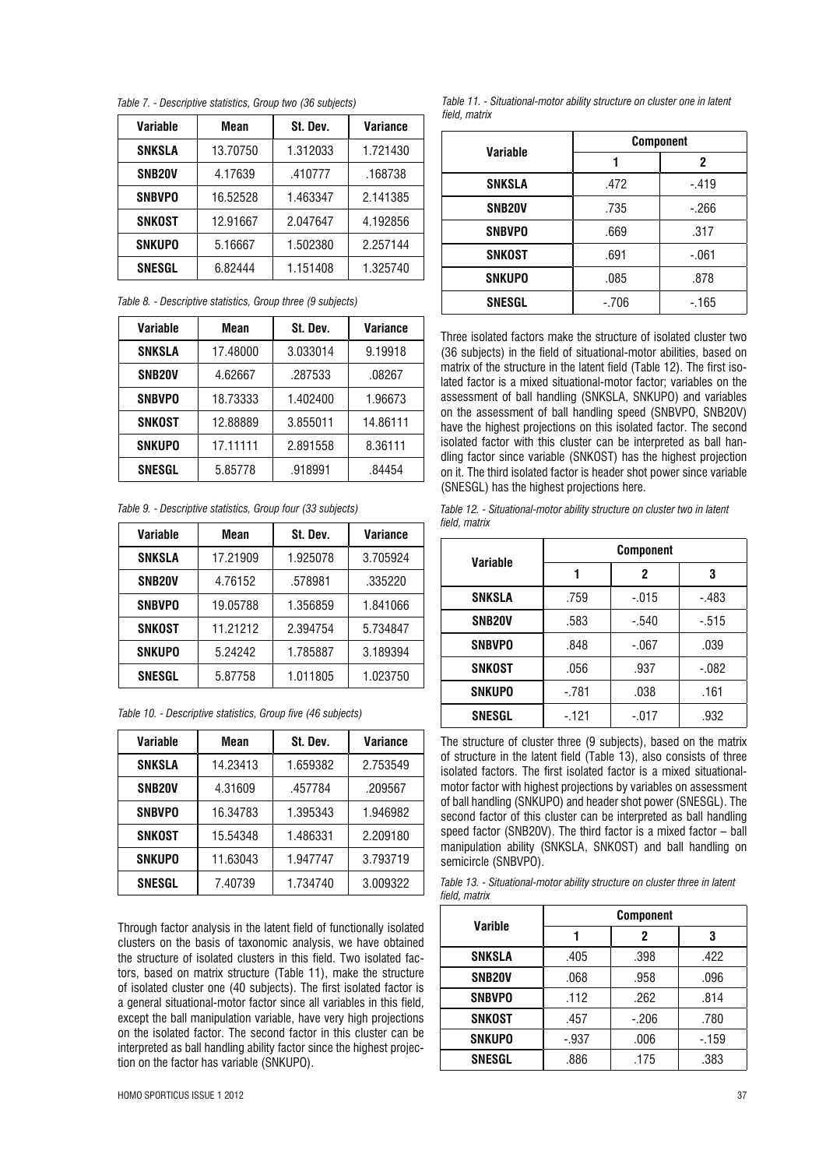*Table 7. - Descriptive statistics, Group two (36 subjects)*

| Variable            | Mean     | St. Dev. | <b>Variance</b> |
|---------------------|----------|----------|-----------------|
| <b>SNKSLA</b>       | 13.70750 | 1.312033 | 1.721430        |
| SNB <sub>20</sub> V | 4.17639  | .410777  | .168738         |
| <b>SNBVPO</b>       | 16.52528 | 1.463347 | 2.141385        |
| <b>SNKOST</b>       | 12.91667 | 2.047647 | 4.192856        |
| <b>SNKUPO</b>       | 5.16667  | 1.502380 | 2.257144        |
| <b>SNESGL</b>       | 6.82444  | 1.151408 | 1.325740        |

*Table 8. - Descriptive statistics, Group three (9 subjects)*

| Variable            | Mean     | St. Dev. | Variance |
|---------------------|----------|----------|----------|
| <b>SNKSLA</b>       | 17.48000 | 3.033014 | 9.19918  |
| SNB <sub>20</sub> V | 4.62667  | .287533  | .08267   |
| <b>SNBVPO</b>       | 18.73333 | 1.402400 | 1.96673  |
| SNKOST              | 12.88889 | 3.855011 | 14.86111 |
| <b>SNKUPO</b>       | 17.11111 | 2.891558 | 8.36111  |
| <b>SNESGL</b>       | 5.85778  | .918991  | .84454   |

*Table 9. - Descriptive statistics, Group four (33 subjects)*

| <b>Variable</b>     | Mean     | St. Dev. | <b>Variance</b> |
|---------------------|----------|----------|-----------------|
| <b>SNKSLA</b>       | 17.21909 | 1.925078 | 3.705924        |
| SNB <sub>20</sub> V | 4.76152  | .578981  | .335220         |
| <b>SNBVPO</b>       | 19.05788 | 1.356859 | 1.841066        |
| SNKOST              | 11.21212 | 2.394754 | 5.734847        |
| <b>SNKUPO</b>       | 5.24242  | 1.785887 | 3.189394        |
| <b>SNESGL</b>       | 5.87758  | 1.011805 | 1.023750        |

| Table 10. - Descriptive statistics, Group five (46 subjects) |  |  |
|--------------------------------------------------------------|--|--|
|--------------------------------------------------------------|--|--|

| Variable            | Mean     | St. Dev. | Variance |
|---------------------|----------|----------|----------|
| <b>SNKSLA</b>       | 14.23413 | 1.659382 | 2.753549 |
| SNB <sub>20</sub> V | 4.31609  | .457784  | .209567  |
| <b>SNBVPO</b>       | 16.34783 | 1.395343 | 1.946982 |
| <b>SNKOST</b>       | 15.54348 | 1.486331 | 2.209180 |
| <b>SNKUPO</b>       | 11.63043 | 1.947747 | 3.793719 |
| <b>SNESGL</b>       | 7.40739  | 1.734740 | 3.009322 |

Through factor analysis in the latent field of functionally isolated clusters on the basis of taxonomic analysis, we have obtained the structure of isolated clusters in this field. Two isolated factors, based on matrix structure (Table 11), make the structure of isolated cluster one (40 subjects). The first isolated factor is a general situational-motor factor since all variables in this field, except the ball manipulation variable, have very high projections on the isolated factor. The second factor in this cluster can be interpreted as ball handling ability factor since the highest projection on the factor has variable (SNKUPO).

|                     | <b>Component</b> |         |  |  |
|---------------------|------------------|---------|--|--|
| Variable            |                  | 2       |  |  |
| <b>SNKSLA</b>       | .472             | $-.419$ |  |  |
| SNB <sub>20</sub> V | .735             | $-266$  |  |  |
| <b>SNBVPO</b>       | .669             | .317    |  |  |
| <b>SNKOST</b>       | .691             | $-.061$ |  |  |
| <b>SNKUPO</b>       | .085             | .878    |  |  |
| <b>SNESGL</b>       | $-.706$          | $-165$  |  |  |

Three isolated factors make the structure of isolated cluster two (36 subjects) in the field of situational-motor abilities, based on matrix of the structure in the latent field (Table 12). The first isolated factor is a mixed situational-motor factor; variables on the assessment of ball handling (SNKSLA, SNKUPO) and variables on the assessment of ball handling speed (SNBVPO, SNB20V) have the highest projections on this isolated factor. The second isolated factor with this cluster can be interpreted as ball handling factor since variable (SNKOST) has the highest projection on it. The third isolated factor is header shot power since variable (SNESGL) has the highest projections here.

*Table 12. - Situational-motor ability structure on cluster two in latent field, matrix*

| Variable            | <b>Component</b> |         |         |  |
|---------------------|------------------|---------|---------|--|
|                     |                  | 2       | 3       |  |
| <b>SNKSLA</b>       | .759             | $-.015$ | $-.483$ |  |
| SNB <sub>20</sub> V | .583             | $-.540$ | $-.515$ |  |
| <b>SNBVPO</b>       | .848             | $-.067$ | .039    |  |
| <b>SNKOST</b>       | .056             | .937    | $-.082$ |  |
| <b>SNKUPO</b>       | $-.781$          | .038    | .161    |  |
| <b>SNESGL</b>       | -.121            | $-.017$ | .932    |  |

The structure of cluster three (9 subjects), based on the matrix of structure in the latent field (Table 13), also consists of three isolated factors. The first isolated factor is a mixed situationalmotor factor with highest projections by variables on assessment of ball handling (SNKUPO) and header shot power (SNESGL). The second factor of this cluster can be interpreted as ball handling speed factor (SNB20V). The third factor is a mixed factor – ball manipulation ability (SNKSLA, SNKOST) and ball handling on semicircle (SNBVPO).

|               | Table 13. - Situational-motor ability structure on cluster three in latent |  |  |  |  |
|---------------|----------------------------------------------------------------------------|--|--|--|--|
| field, matrix |                                                                            |  |  |  |  |

| Varible             | <b>Component</b> |         |        |  |  |
|---------------------|------------------|---------|--------|--|--|
|                     |                  | 2       | 3      |  |  |
| <b>SNKSLA</b>       | .405             | .398    | .422   |  |  |
| SNB <sub>20</sub> V | .068             | .958    | .096   |  |  |
| <b>SNBVPO</b>       | .112             | .262    | .814   |  |  |
| <b>SNKOST</b>       | .457             | $-.206$ | .780   |  |  |
| <b>SNKUPO</b>       | $-.937$          | .006    | $-159$ |  |  |
| <b>SNESGL</b>       | .886             | .175    | .383   |  |  |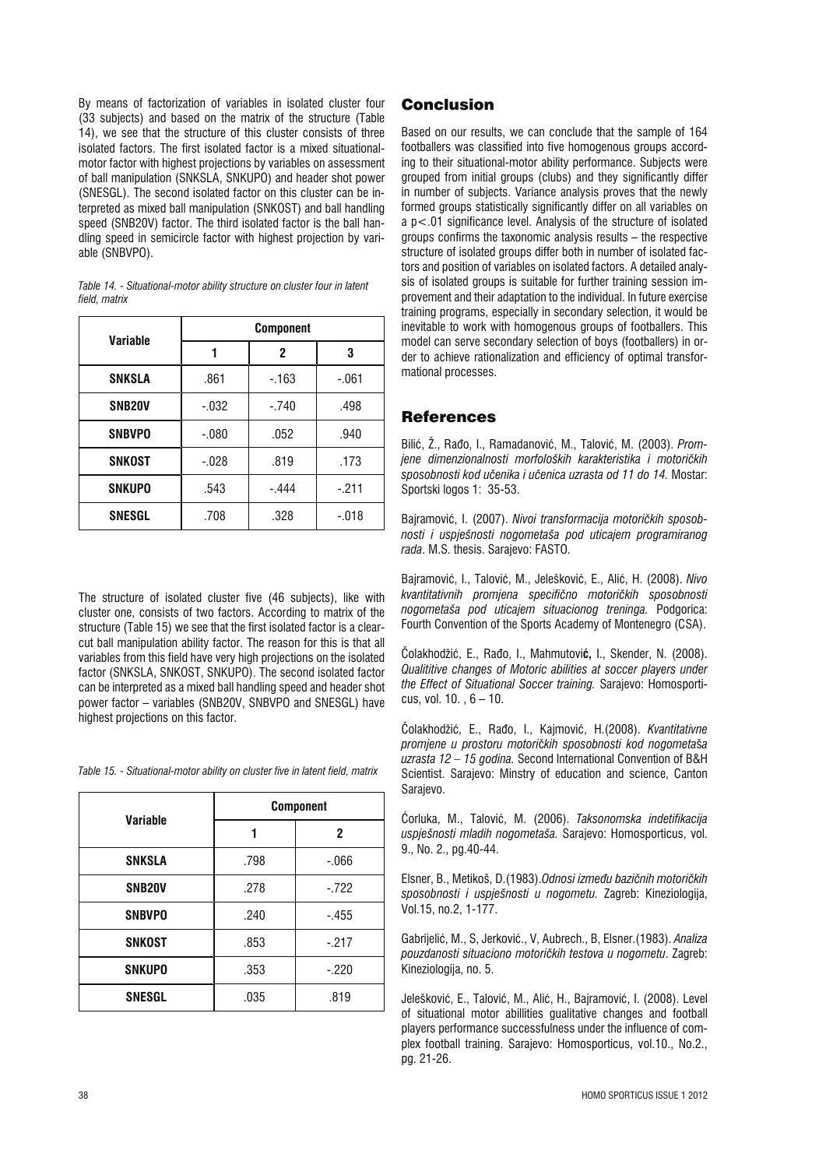By means of factorization of variables in isolated cluster four (33 subjects) and based on the matrix of the structure (Table 14), we see that the structure of this cluster consists of three isolated factors. The first isolated factor is a mixed situationalmotor factor with highest projections by variables on assessment of ball manipulation (SNKSLA, SNKUPO) and header shot power (SNESGL). The second isolated factor on this cluster can be interpreted as mixed ball manipulation (SNKOST) and ball handling speed (SNB20V) factor. The third isolated factor is the ball handling speed in semicircle factor with highest projection by variable (SNBVPO).

| Variable            | <b>Component</b> |         |         |
|---------------------|------------------|---------|---------|
|                     |                  | 2       | 3       |
| <b>SNKSLA</b>       | .861             | $-163$  | $-.061$ |
| SNB <sub>20</sub> V | $-.032$          | $-.740$ | .498    |
| <b>SNBVPO</b>       | $-.080$          | .052    | .940    |
| SNKOST              | $-.028$          | .819    | .173    |
| <b>SNKUPO</b>       | .543             | -.444   | $-.211$ |
| <b>SNESGL</b>       | .708             | .328    | $-.018$ |

*Table 14. - Situational-motor ability structure on cluster four in latent field, matrix*

The structure of isolated cluster five (46 subjects), like with cluster one, consists of two factors. According to matrix of the structure (Table 15) we see that the first isolated factor is a clearcut ball manipulation ability factor. The reason for this is that all variables from this field have very high projections on the isolated factor (SNKSLA, SNKOST, SNKUPO). The second isolated factor can be interpreted as a mixed ball handling speed and header shot power factor – variables (SNB20V, SNBVPO and SNESGL) have highest projections on this factor.

*Table 15. - Situational-motor ability on cluster five in latent field, matrix*

| <b>Variable</b>     | <b>Component</b> |         |  |
|---------------------|------------------|---------|--|
|                     |                  | 2       |  |
| <b>SNKSLA</b>       | .798             | $-066$  |  |
| SNB <sub>20</sub> V | .278             | $-722$  |  |
| <b>SNBVPO</b>       | .240             | $-.455$ |  |
| SNKOST              | .853             | $-.217$ |  |
| <b>SNKUPO</b>       | .353             | $-.220$ |  |
| <b>SNESGL</b>       | .035             | .819    |  |

# Conclusion

Based on our results, we can conclude that the sample of 164 footballers was classified into five homogenous groups according to their situational-motor ability performance. Subjects were grouped from initial groups (clubs) and they significantly differ in number of subjects. Variance analysis proves that the newly formed groups statistically significantly differ on all variables on a p<.01 significance level. Analysis of the structure of isolated groups confirms the taxonomic analysis results – the respective structure of isolated groups differ both in number of isolated factors and position of variables on isolated factors. A detailed analysis of isolated groups is suitable for further training session improvement and their adaptation to the individual. In future exercise training programs, especially in secondary selection, it would be inevitable to work with homogenous groups of footballers. This model can serve secondary selection of boys (footballers) in order to achieve rationalization and efficiency of optimal transformational processes.

## **References**

Biliê, Ž., Raío, I., Ramadanoviê, M., Taloviê, M. (2003). *Promjene dimenzionalnosti morfoloških karakteristika i motoriìkih sposobnosti kod uìenika i uìenica uzrasta od 11 do 14.* Mostar: Sportski logos 1: 35-53.

Bajramoviê, I. (2007). *Nivoi transformacija motoriìkih sposobnosti i uspješnosti nogometaša pod uticajem programiranog rada*. M.S. thesis. Sarajevo: FASTO.

Bajramoviê, I., Taloviê, M., Jeleškoviê, E., Aliê, H. (2008). *Nivo kvantitativnih promjena specifiìno motoriìkih sposobnosti nogometaša pod uticajem situacionog treninga.* Podgorica: Fourth Convention of the Sports Academy of Montenegro (CSA).

ëolakhodžiê, E., Raío, I., Mahmutovi**ê,** I., Skender, N. (2008). *Qualititive changes of Motoric abilities at soccer players under the Effect of Situational Soccer training.* Sarajevo: Homosporticus, vol. 10. , 6 – 10.

ëolakhodžiê, E., Raío, I., Kajmoviê, H.(2008). *Kvantitativne promjene u prostoru motori*ì*kih sposobnosti kod nogometa*š*a uzrasta 12 – 15 godina.* Second International Convention of B&H Scientist. Sarajevo: Minstry of education and science, Canton Sarajevo.

éorluka, M., Taloviê, M. (2006). *Taksonomska indetifikacija uspješnosti mladih nogometaša.* Sarajevo: Homosporticus, vol. 9., No. 2., pg.40-44.

Elsner, B., Metikoš, D.(1983).*Odnosi izmeíu baziìnih motoriìkih sposobnosti i uspješnosti u nogometu.* Zagreb: Kineziologija, Vol.15, no.2, 1-177.

Gabrijeliê, M., S, Jerkoviê., V, Aubrech., B, Elsner.(1983). *Analiza pouzdanosti situaciono motoriìkih testova u nogometu*. Zagreb: Kineziologija, no. 5.

Jeleškoviê, E., Taloviê, M., Aliê, H., Bajramoviê, I. (2008). Level of situational motor abillities gualitative changes and football players performance successfulness under the influence of complex football training. Sarajevo: Homosporticus, vol.10., No.2., pg. 21-26.